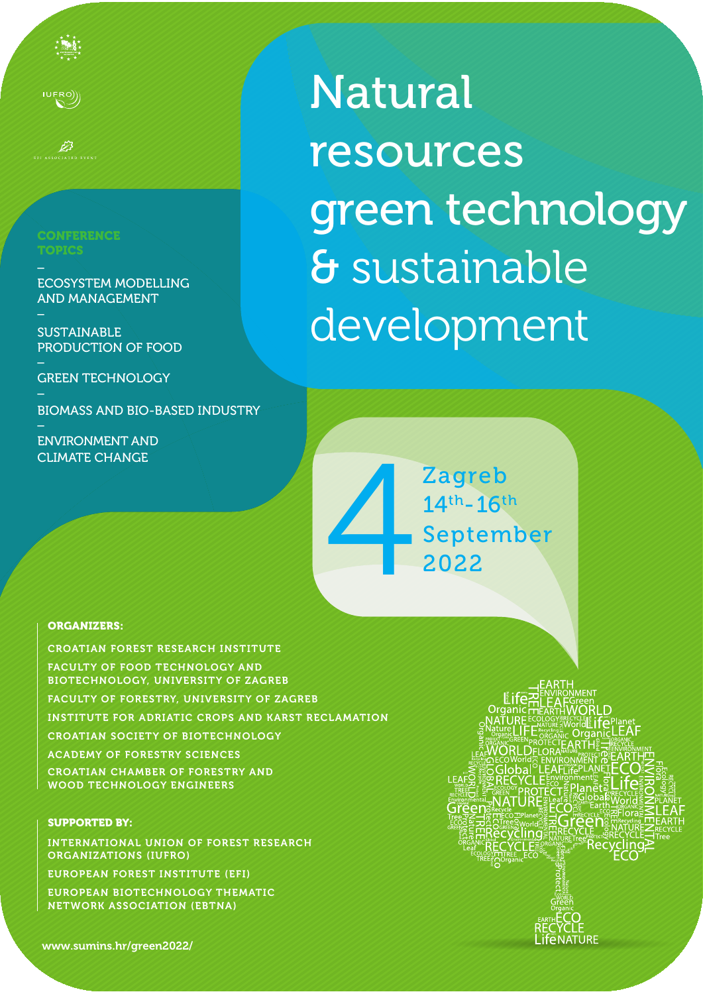**CONFERENCE TOPICS**  $\overline{a}$ 

 $\mathsf{IUERO}$ 

ASSOCIATED EVEN

 $\overline{a}$ 

ECOSYSTEM MODELLING AND MANAGEMENT

**SUSTAINABLE** PRODUCTION OF FOOD  $\overline{a}$ 

**GREEN TECHNOLOGY** 

BIOMASS AND BIO-BASED INDUSTRY \_

ENVIRONMENT AND CLIMATE CHANGE

Natural resources green technology & sustainable development

Zagreb 14th-16th Zagreb<br>14<sup>th</sup>-16<sup>th</sup><br>September<br>2022

## ORGANIZERS:

CROATIAN FOREST RESEARCH INSTITUTE FACULTY OF FOOD TECHNOLOGY AND BIOTECHNOLOGY, UNIVERSITY OF ZAGREB FACULTY OF FORESTRY, UNIVERSITY OF ZAGREB INSTITUTE FOR ADRIATIC CROPS AND KARST RECLAMATION CROATIAN SOCIETY OF BIOTECHNOLOGY ACADEMY OF FORESTRY SCIENCES CROATIAN CHAMBER OF FORESTRY AND WOOD TECHNOLOGY ENGINEERS

## SUPPORTED BY:

INTERNATIONAL UNION OF FOREST RESEARCH ORGANIZATIONS (IUFRO)

EUROPEAN FOREST INSTITUTE (EFI)

EUROPEAN BIOTECHNOLOGY THEMATIC NETWORK ASSOCIATION (EBTNA)

www.sumins.hr/green2022/